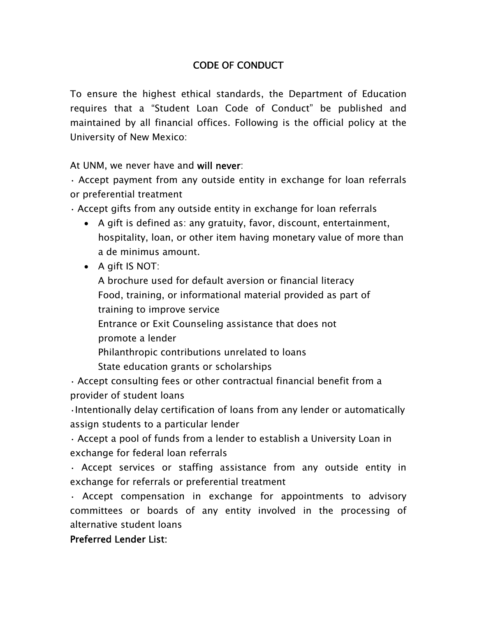## CODE OF CONDUCT

To ensure the highest ethical standards, the Department of Education requires that a "Student Loan Code of Conduct" be published and maintained by all financial offices. Following is the official policy at the University of New Mexico:

At UNM, we never have and will never:

• Accept payment from any outside entity in exchange for loan referrals or preferential treatment

- Accept gifts from any outside entity in exchange for loan referrals
	- A gift is defined as: any gratuity, favor, discount, entertainment, hospitality, loan, or other item having monetary value of more than a de minimus amount.
	- A gift IS NOT:

A brochure used for default aversion or financial literacy Food, training, or informational material provided as part of training to improve service

Entrance or Exit Counseling assistance that does not promote a lender

Philanthropic contributions unrelated to loans

State education grants or scholarships

• Accept consulting fees or other contractual financial benefit from a provider of student loans

•Intentionally delay certification of loans from any lender or automatically assign students to a particular lender

• Accept a pool of funds from a lender to establish a University Loan in exchange for federal loan referrals

• Accept services or staffing assistance from any outside entity in exchange for referrals or preferential treatment

• Accept compensation in exchange for appointments to advisory committees or boards of any entity involved in the processing of alternative student loans

Preferred Lender List: